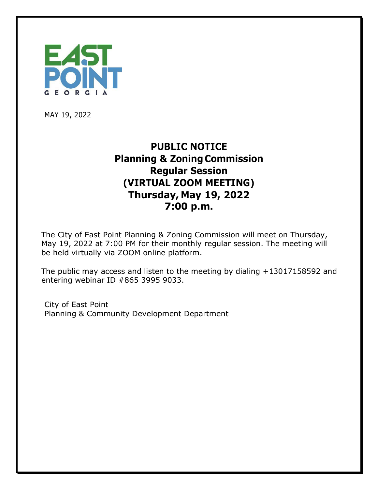

MAY 19, 2022

## **PUBLIC NOTICE Planning & Zoning Commission Regular Session (VIRTUAL ZOOM MEETING) Thursday, May 19, 2022 7:00 p.m.**

The City of East Point Planning & Zoning Commission will meet on Thursday, May 19, 2022 at 7:00 PM for their monthly regular session. The meeting will be held virtually via ZOOM online platform.

The public may access and listen to the meeting by dialing +13017158592 and entering webinar ID #865 3995 9033.

City of East Point Planning & Community Development Department